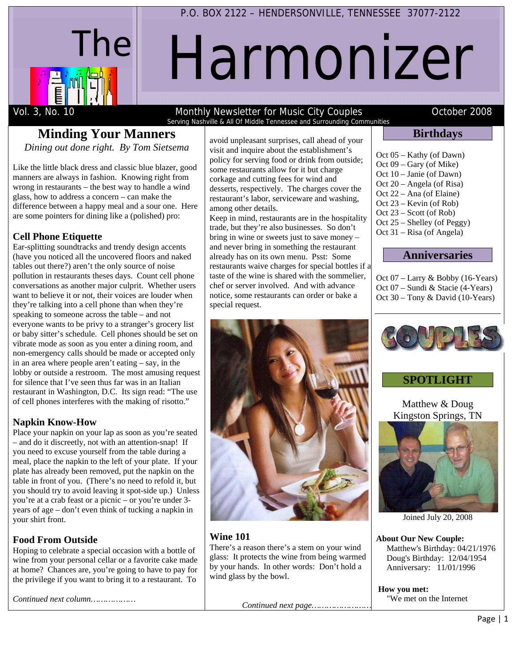

# Harmonizer

#### **Minding Your Manners**  *Dining out done right. By Tom Sietsema*

Like the little black dress and classic blue blazer, good manners are always in fashion. Knowing right from wrong in restaurants – the best way to handle a wind glass, how to address a concern – can make the difference between a happy meal and a sour one. Here are some pointers for dining like a (polished) pro:

#### **Cell Phone Etiquette**

Ear-splitting soundtracks and trendy design accents (have you noticed all the uncovered floors and naked tables out there?) aren't the only source of noise pollution in restaurants theses days. Count cell phone conversations as another major culprit. Whether users want to believe it or not, their voices are louder when they're talking into a cell phone than when they're speaking to someone across the table – and not everyone wants to be privy to a stranger's grocery list or baby sitter's schedule. Cell phones should be set on vibrate mode as soon as you enter a dining room, and non-emergency calls should be made or accepted only in an area where people aren't eating – say, in the lobby or outside a restroom. The most amusing request for silence that I've seen thus far was in an Italian restaurant in Washington, D.C. Its sign read: "The use of cell phones interferes with the making of risotto."

#### **Napkin Know-How**

Place your napkin on your lap as soon as you're seated – and do it discreetly, not with an attention-snap! If you need to excuse yourself from the table during a meal, place the napkin to the left of your plate. If your plate has already been removed, put the napkin on the table in front of you. (There's no need to refold it, but you should try to avoid leaving it spot-side up.) Unless you're at a crab feast or a picnic – or you're under 3 years of age – don't even think of tucking a napkin in your shirt front.

## **Food From Outside**

Hoping to celebrate a special occasion with a bottle of wine from your personal cellar or a favorite cake made at home? Chances are, you're going to have to pay for the privilege if you want to bring it to a restaurant. To

*Continued next column………………*

avoid unpleasant surprises, call ahead of your visit and inquire about the establishment's policy for serving food or drink from outside; some restaurants allow for it but charge corkage and cutting fees for wind and desserts, respectively. The charges cover the restaurant's labor, serviceware and washing, among other details.

Serving Nashville & All Of Middle Tennessee and Surrounding Communities

Keep in mind, restaurants are in the hospitality trade, but they're also businesses. So don't bring in wine or sweets just to save money – and never bring in something the restaurant already has on its own menu. Psst: Some restaurants waive charges for special bottles if a taste of the wine is shared with the sommelier, chef or server involved. And with advance notice, some restaurants can order or bake a special request.



## **Wine 101**

There's a reason there's a stem on your wind glass: It protects the wine from being warmed by your hands. In other words: Don't hold a wind glass by the bowl.

*Continued next page……………………*

#### **Birthdays**

Oct 05 – Kathy (of Dawn) Oct 09 – Gary (of Mike) Oct 10 – Janie (of Dawn) Oct 20 – Angela (of Risa) Oct 22 – Ana (of Elaine) Oct 23 – Kevin (of Rob) Oct 23 – Scott (of Rob) Oct 25 – Shelley (of Peggy) Oct 31 – Risa (of Angela)

#### **Anniversaries**

Oct 07 – Larry & Bobby (16-Years) Oct 07 – Sundi & Stacie (4-Years) Oct 30 – Tony & David (10-Years)



## **SPOTLIGHT**

Matthew & Doug Kingston Springs, TN



Joined July 20, 2008

**About Our New Couple:** Matthew's Birthday: 04/21/1976 Doug's Birthday: 12/04/1954 Anniversary: 11/01/1996

**How you met:**  "We met on the Internet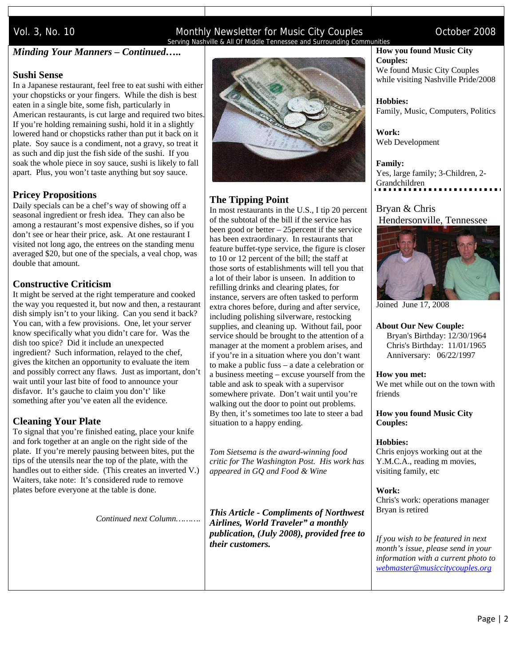#### Vol. 3, No. 10 **Monthly Newsletter for Music City Couples** Contract 2008 Serving Nashville & All Of Middle Tennessee and Surrounding Communities

#### *Minding Your Manners – Continued…..*

#### **Sushi Sense**

In a Japanese restaurant, feel free to eat sushi with either your chopsticks or your fingers. While the dish is best eaten in a single bite, some fish, particularly in American restaurants, is cut large and required two bites. If you're holding remaining sushi, hold it in a slightly lowered hand or chopsticks rather than put it back on it plate. Soy sauce is a condiment, not a gravy, so treat it as such and dip just the fish side of the sushi. If you soak the whole piece in soy sauce, sushi is likely to fall apart. Plus, you won't taste anything but soy sauce.

#### **Pricey Propositions**

Daily specials can be a chef's way of showing off a seasonal ingredient or fresh idea. They can also be among a restaurant's most expensive dishes, so if you don't see or hear their price, ask. At one restaurant I visited not long ago, the entrees on the standing menu averaged \$20, but one of the specials, a veal chop, was double that amount.

#### **Constructive Criticism**

It might be served at the right temperature and cooked the way you requested it, but now and then, a restaurant dish simply isn't to your liking. Can you send it back? You can, with a few provisions. One, let your server know specifically what you didn't care for. Was the dish too spice? Did it include an unexpected ingredient? Such information, relayed to the chef, gives the kitchen an opportunity to evaluate the item and possibly correct any flaws. Just as important, don't wait until your last bite of food to announce your disfavor. It's gauche to claim you don't' like something after you've eaten all the evidence.

#### **Cleaning Your Plate**

To signal that you're finished eating, place your knife and fork together at an angle on the right side of the plate. If you're merely pausing between bites, put the tips of the utensils near the top of the plate, with the handles out to either side. (This creates an inverted V.) Waiters, take note: It's considered rude to remove plates before everyone at the table is done.

*Continued next Column……….* 



#### **The Tipping Point**

In most restaurants in the U.S., I tip 20 percent of the subtotal of the bill if the service has been good or better – 25percent if the service has been extraordinary. In restaurants that feature buffet-type service, the figure is closer to 10 or 12 percent of the bill; the staff at those sorts of establishments will tell you that a lot of their labor is unseen. In addition to refilling drinks and clearing plates, for instance, servers are often tasked to perform extra chores before, during and after service, including polishing silverware, restocking supplies, and cleaning up. Without fail, poor service should be brought to the attention of a manager at the moment a problem arises, and if you're in a situation where you don't want to make a public fuss – a date a celebration or a business meeting – excuse yourself from the table and ask to speak with a supervisor somewhere private. Don't wait until you're walking out the door to point out problems. By then, it's sometimes too late to steer a bad situation to a happy ending.

*Tom Sietsema is the award-winning food critic for The Washington Post. His work has appeared in GQ and Food & Wine* 

*This Article - Compliments of Northwest Airlines, World Traveler" a monthly publication, (July 2008), provided free to their customers.* 

#### **How you found Music City Couples:**

We found Music City Couples while visiting Nashville Pride/2008

**Hobbies:** Family, Music, Computers, Politics

**Work:** Web Development

**Family:** Yes, large family; 3-Children, 2- Grandchildren

#### Bryan & Chris Hendersonville, Tennessee



Joined June 17, 2008

#### **About Our New Couple:**

 Bryan's Birthday: 12/30/1964 Chris's Birthday: 11/01/1965 Anniversary: 06/22/1997

**How you met:**  We met while out on the town with friends

**How you found Music City Couples:** 

#### **Hobbies:**

Chris enjoys working out at the Y.M.C.A., reading m movies, visiting family, etc

**Work:** Chris's work: operations manager Bryan is retired

*If you wish to be featured in next month's issue, please send in your information with a current photo to webmaster@musiccitycouples.org*